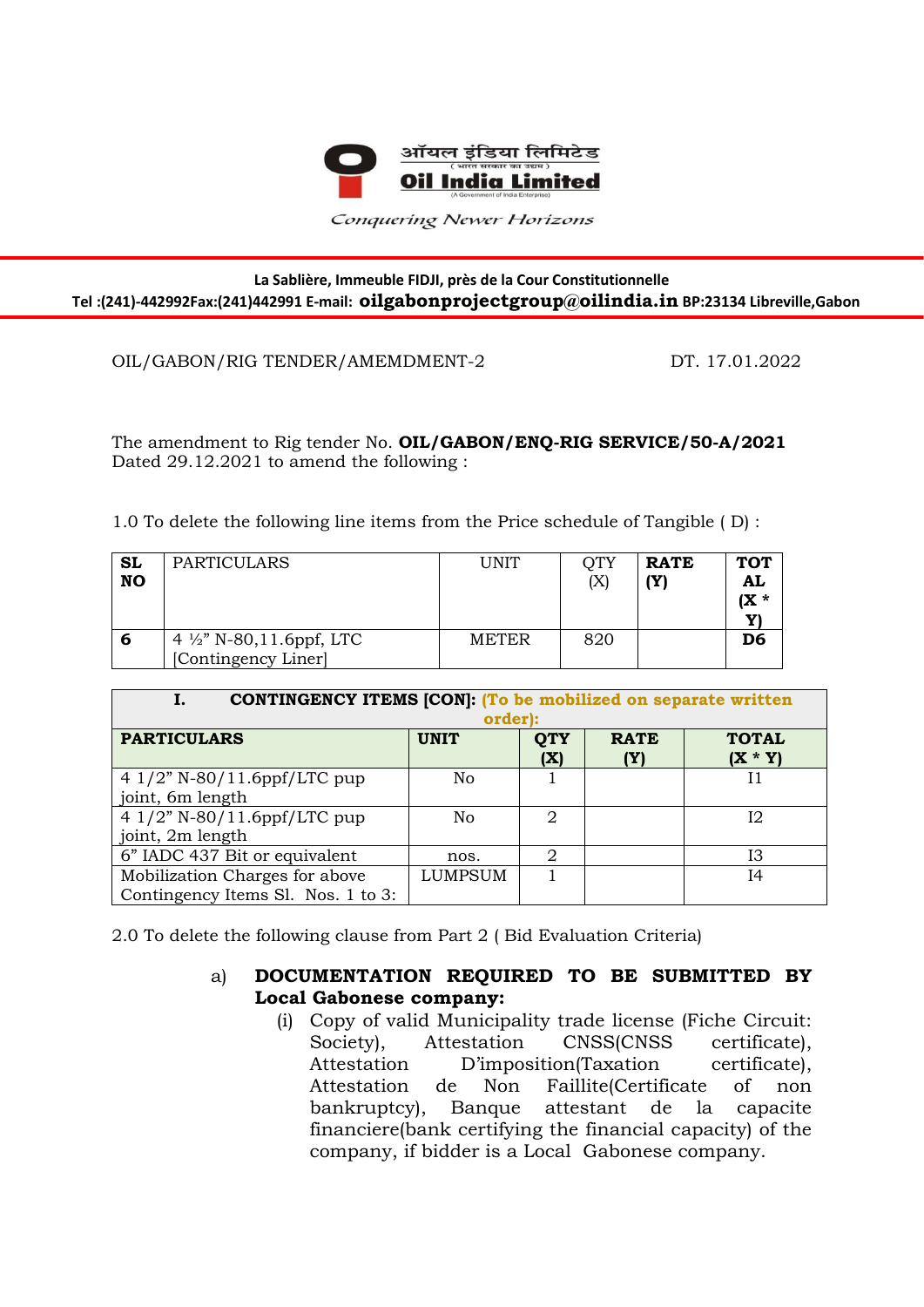

Conquering Newer Horizons

## **La Sablière, Immeuble FIDJI, près de la Cour Constitutionnelle Tel :(241)-442992Fax:(241)442991 E-mail: oilgabonprojectgroup@oilindia.in BP:23134 Libreville,Gabon**

## OIL/GABON/RIG TENDER/AMEMDMENT-2 DT. 17.01.2022

Ī

The amendment to Rig tender No. **OIL/GABON/ENQ-RIG SERVICE/50-A/2021** Dated 29.12.2021 to amend the following :

1.0 To delete the following line items from the Price schedule of Tangible ( D) :

| SL<br><b>NO</b> | <b>PARTICULARS</b>                                         | <b>UNIT</b>  | OTY<br>$(\rm X)$ | <b>RATE</b><br>(Y) | <b>TOT</b><br>AL<br>(X * |
|-----------------|------------------------------------------------------------|--------------|------------------|--------------------|--------------------------|
| b               | 4 $\frac{1}{2}$ " N-80,11.6ppf, LTC<br>[Contingency Liner] | <b>METER</b> | 820              |                    | D6                       |

| <b>CONTINGENCY ITEMS [CON]: (To be mobilized on separate written</b> |             |                   |                    |                           |  |  |  |  |
|----------------------------------------------------------------------|-------------|-------------------|--------------------|---------------------------|--|--|--|--|
|                                                                      | order):     |                   |                    |                           |  |  |  |  |
| <b>PARTICULARS</b>                                                   | <b>UNIT</b> | <b>QTY</b><br>(X) | <b>RATE</b><br>(Y) | <b>TOTAL</b><br>$(X * Y)$ |  |  |  |  |
| 4 $1/2$ " N-80/11.6ppf/LTC pup                                       | No          |                   |                    |                           |  |  |  |  |
| joint, 6m length                                                     |             |                   |                    |                           |  |  |  |  |
| 4 1/2" N-80/11.6ppf/LTC pup                                          | No          | 2                 |                    | 12                        |  |  |  |  |
| joint, 2m length                                                     |             |                   |                    |                           |  |  |  |  |
| 6" IADC 437 Bit or equivalent                                        | nos.        | 2                 |                    | Ι3                        |  |  |  |  |
| Mobilization Charges for above                                       | LUMPSUM     |                   |                    | Ι4                        |  |  |  |  |
| Contingency Items Sl. Nos. 1 to 3:                                   |             |                   |                    |                           |  |  |  |  |

2.0 To delete the following clause from Part 2 ( Bid Evaluation Criteria)

## a) **DOCUMENTATION REQUIRED TO BE SUBMITTED BY Local Gabonese company:**

(i) Copy of valid Municipality trade license (Fiche Circuit: Society), Attestation CNSS(CNSS certificate), Attestation D'imposition(Taxation certificate), Attestation de Non Faillite(Certificate of non bankruptcy), Banque attestant de la capacite financiere(bank certifying the financial capacity) of the company, if bidder is a Local Gabonese company.